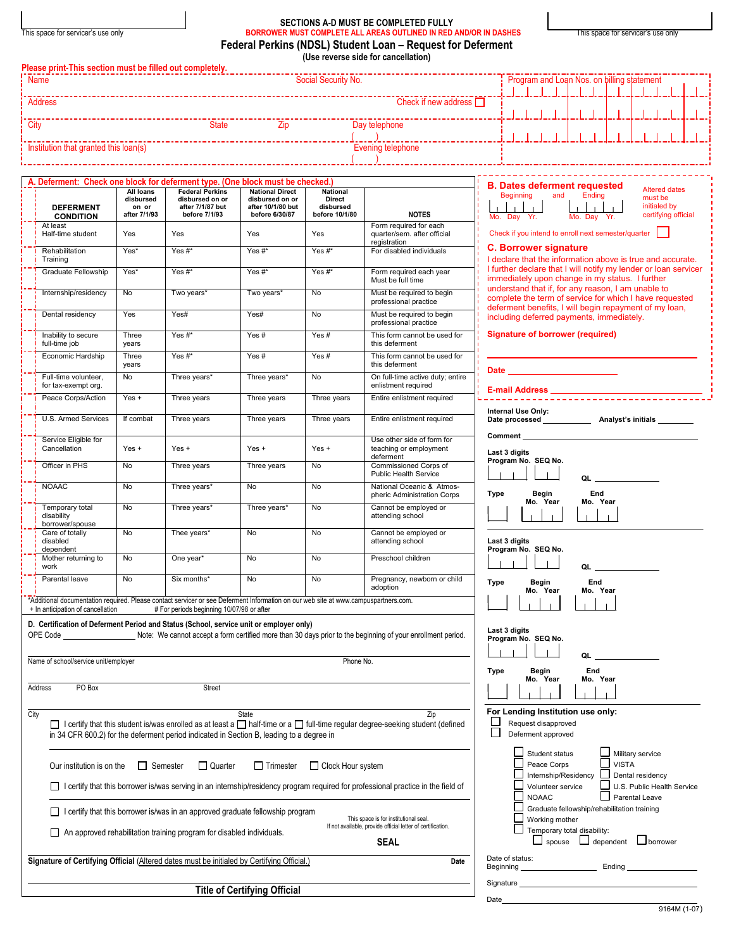|  | This space for servicer's use only |  |
|--|------------------------------------|--|

 $\vert$ 

## **SECTIONS A-D MUST BE COMPLETED FULLY**  This space for servicer's use only **BORROWER MUST COMPLETE ALL AREAS OUTLINED IN RED AND/OR IN DASHES** This space for servicer's use only **Federal Perkins (NDSL) Student Loan – Request for Deferment (Use reverse side for cancellation)**

|             | Please print-This section must be filled out completely.                                   |                                    |                                                                                          |                                                        |                                       |                                                                                                                                            |                                                                                                                                                                                                                                    |  |  |  |  |  |  |  |  |  |  |  |
|-------------|--------------------------------------------------------------------------------------------|------------------------------------|------------------------------------------------------------------------------------------|--------------------------------------------------------|---------------------------------------|--------------------------------------------------------------------------------------------------------------------------------------------|------------------------------------------------------------------------------------------------------------------------------------------------------------------------------------------------------------------------------------|--|--|--|--|--|--|--|--|--|--|--|
| <b>Name</b> |                                                                                            |                                    |                                                                                          |                                                        | Social Security No.                   |                                                                                                                                            | Program and Loan Nos. on billing statement                                                                                                                                                                                         |  |  |  |  |  |  |  |  |  |  |  |
|             | <b>Address</b>                                                                             |                                    |                                                                                          |                                                        |                                       | Check if new address $\Box$                                                                                                                |                                                                                                                                                                                                                                    |  |  |  |  |  |  |  |  |  |  |  |
| City        |                                                                                            |                                    |                                                                                          |                                                        |                                       | __________________<br>Day telephone                                                                                                        |                                                                                                                                                                                                                                    |  |  |  |  |  |  |  |  |  |  |  |
|             | Institution that granted this loan(s)                                                      |                                    |                                                                                          |                                                        |                                       | Evening telephone                                                                                                                          |                                                                                                                                                                                                                                    |  |  |  |  |  |  |  |  |  |  |  |
|             |                                                                                            |                                    |                                                                                          |                                                        |                                       |                                                                                                                                            | ----------------                                                                                                                                                                                                                   |  |  |  |  |  |  |  |  |  |  |  |
|             | A. Deferment: Check one block for deferment type. (One block must be checked.)             | All loans                          | <b>Federal Perkins</b>                                                                   | <b>National Direct</b>                                 | National                              |                                                                                                                                            | <b>B. Dates deferment requested</b><br><b>Altered dates</b>                                                                                                                                                                        |  |  |  |  |  |  |  |  |  |  |  |
|             | <b>DEFERMENT</b><br><b>CONDITION</b>                                                       | disbursed<br>on or<br>after 7/1/93 | disbursed on or<br>after 7/1/87 but<br>before 7/1/93                                     | disbursed on or<br>after 10/1/80 but<br>before 6/30/87 | Direct<br>disbursed<br>before 10/1/80 | <b>NOTES</b>                                                                                                                               | Ending<br><b>Beginning</b><br>and<br>must be<br>initialed by<br>certifying official<br>Mo. Day Yr.<br>Mo. Day Yr.                                                                                                                  |  |  |  |  |  |  |  |  |  |  |  |
|             | At least<br>Half-time student                                                              | Yes                                | Yes                                                                                      | Yes                                                    | Yes                                   | Form required for each<br>quarter/sem. after official<br>registration                                                                      | Check if you intend to enroll next semester/quarter                                                                                                                                                                                |  |  |  |  |  |  |  |  |  |  |  |
|             | Rehabilitation<br>Training                                                                 | Yes*                               | Yes#*                                                                                    | Yes #*                                                 | Yes#*                                 | For disabled individuals                                                                                                                   | <b>C. Borrower signature</b><br>I declare that the information above is true and accurate.                                                                                                                                         |  |  |  |  |  |  |  |  |  |  |  |
|             | Graduate Fellowship                                                                        | Yes*                               | Yes #*                                                                                   | Yes #*                                                 | Yes #*                                | Form required each year<br>Must be full time                                                                                               | I further declare that I will notify my lender or loan servicer<br>immediately upon change in my status. I further                                                                                                                 |  |  |  |  |  |  |  |  |  |  |  |
|             | Internship/residency                                                                       | No                                 | Two years*                                                                               | Two years*                                             | No                                    | Must be required to begin<br>professional practice                                                                                         | understand that if, for any reason, I am unable to<br>complete the term of service for which I have requested                                                                                                                      |  |  |  |  |  |  |  |  |  |  |  |
|             | Dental residency                                                                           | Yes                                | Yes#                                                                                     | Yes#                                                   | No                                    | Must be required to begin<br>professional practice                                                                                         | deferment benefits, I will begin repayment of my loan,<br>including deferred payments, immediately.                                                                                                                                |  |  |  |  |  |  |  |  |  |  |  |
|             | Inability to secure<br>full-time job                                                       | Three<br>years                     | Yes#*                                                                                    | Yes#                                                   | Yes#                                  | This form cannot be used for<br>this deferment                                                                                             | <b>Signature of borrower (required)</b>                                                                                                                                                                                            |  |  |  |  |  |  |  |  |  |  |  |
|             | Economic Hardship                                                                          | Three<br>years                     | Yes#*                                                                                    | Yes#                                                   | Yes#                                  | This form cannot be used for<br>this deferment                                                                                             |                                                                                                                                                                                                                                    |  |  |  |  |  |  |  |  |  |  |  |
|             | Full-time volunteer,<br>for tax-exempt org.                                                | No                                 | Three years*                                                                             | Three years*                                           | No                                    | On full-time active duty; entire<br>enlistment required                                                                                    | Date ___________________________                                                                                                                                                                                                   |  |  |  |  |  |  |  |  |  |  |  |
|             | Peace Corps/Action                                                                         | $Yes +$                            | Three years                                                                              | Three years                                            | Three years                           | Entire enlistment required                                                                                                                 |                                                                                                                                                                                                                                    |  |  |  |  |  |  |  |  |  |  |  |
|             | U.S. Armed Services                                                                        | If combat                          | Three years                                                                              | Three years                                            | Three years                           | Entire enlistment required                                                                                                                 | Internal Use Only:                                                                                                                                                                                                                 |  |  |  |  |  |  |  |  |  |  |  |
|             | Service Eligible for<br>Cancellation                                                       | $Yes +$                            | $Yes +$                                                                                  | $Yes +$                                                | $Yes +$                               | Use other side of form for<br>teaching or employment<br>deferment                                                                          | <b>Comment</b> Comment<br>Last 3 digits                                                                                                                                                                                            |  |  |  |  |  |  |  |  |  |  |  |
|             | Officer in PHS                                                                             | No                                 | Three years                                                                              | Three years                                            | No                                    | Commissioned Corps of<br><b>Public Health Service</b>                                                                                      | Program No. SEQ No.<br>QL                                                                                                                                                                                                          |  |  |  |  |  |  |  |  |  |  |  |
|             | <b>NOAAC</b>                                                                               | <b>No</b>                          | Three years*                                                                             | No                                                     | No                                    | National Oceanic & Atmos-<br>pheric Administration Corps                                                                                   | End<br>Type<br>Begin                                                                                                                                                                                                               |  |  |  |  |  |  |  |  |  |  |  |
|             | Temporary total<br>disability<br>borrower/spouse                                           | No                                 | Three years*                                                                             | Three years*                                           | <b>No</b>                             | Cannot be employed or<br>attending school                                                                                                  | Mo. Year<br>Mo. Year                                                                                                                                                                                                               |  |  |  |  |  |  |  |  |  |  |  |
|             | Care of totally<br>disabled<br>dependent                                                   | No                                 | Thee years*                                                                              | No                                                     | No                                    | Cannot be employed or<br>attending school                                                                                                  | Last 3 digits<br>Program No. SEQ No.                                                                                                                                                                                               |  |  |  |  |  |  |  |  |  |  |  |
|             | Mother returning to<br>work                                                                | No                                 | One year*                                                                                | No                                                     | No                                    | Preschool children                                                                                                                         | QL                                                                                                                                                                                                                                 |  |  |  |  |  |  |  |  |  |  |  |
|             | Parental leave                                                                             | <b>No</b>                          | Six months*                                                                              | <b>No</b>                                              | No                                    | Pregnancy, newborn or child<br>adoption                                                                                                    | <b>Type</b><br>End<br>Begin<br>Mo. Year<br>Mo. Year                                                                                                                                                                                |  |  |  |  |  |  |  |  |  |  |  |
|             | + In anticipation of cancellation                                                          |                                    | # For periods beginning 10/07/98 or after                                                |                                                        |                                       | *Additional documentation required. Please contact servicer or see Deferment Information on our web site at www.campuspartners.com.        | $\mathbf{1}$ $\mathbf{1}$<br>$\sim$ 1.                                                                                                                                                                                             |  |  |  |  |  |  |  |  |  |  |  |
|             | D. Certification of Deferment Period and Status (School, service unit or employer only)    |                                    |                                                                                          |                                                        |                                       | OPE Code ______________________Note: We cannot accept a form certified more than 30 days prior to the beginning of your enrollment period. | Last 3 digits                                                                                                                                                                                                                      |  |  |  |  |  |  |  |  |  |  |  |
|             |                                                                                            |                                    |                                                                                          |                                                        |                                       |                                                                                                                                            | Program No. SEQ No.                                                                                                                                                                                                                |  |  |  |  |  |  |  |  |  |  |  |
|             | Name of school/service unit/employer                                                       |                                    |                                                                                          |                                                        | Phone No.                             |                                                                                                                                            | QL<br>End<br>Begin<br>Type                                                                                                                                                                                                         |  |  |  |  |  |  |  |  |  |  |  |
|             | PO Box<br>Address                                                                          |                                    | Street                                                                                   |                                                        |                                       |                                                                                                                                            | Mo. Year<br>Mo. Year                                                                                                                                                                                                               |  |  |  |  |  |  |  |  |  |  |  |
| City        |                                                                                            |                                    |                                                                                          | State                                                  |                                       | Zip                                                                                                                                        | For Lending Institution use only:                                                                                                                                                                                                  |  |  |  |  |  |  |  |  |  |  |  |
|             |                                                                                            |                                    | in 34 CFR 600.2) for the deferment period indicated in Section B, leading to a degree in |                                                        |                                       | □ I certify that this student is/was enrolled as at least a □ half-time or a □ full-time regular degree-seeking student (defined           | L<br>Request disapproved<br>⊏<br>Deferment approved                                                                                                                                                                                |  |  |  |  |  |  |  |  |  |  |  |
|             | Our institution is on the                                                                  | $\Box$ Semester                    | $\Box$ Quarter                                                                           | $\Box$ Trimester                                       | □ Clock Hour system                   |                                                                                                                                            | Student status<br>Military service<br>$\sqcup$ vista<br>Peace Corps                                                                                                                                                                |  |  |  |  |  |  |  |  |  |  |  |
|             |                                                                                            |                                    |                                                                                          |                                                        |                                       | I certify that this borrower is/was serving in an internship/residency program required for professional practice in the field of          | Internship/Residency<br>Dental residency<br>U.S. Public Health Service<br>Volunteer service                                                                                                                                        |  |  |  |  |  |  |  |  |  |  |  |
|             |                                                                                            |                                    | $\Box$ I certify that this borrower is/was in an approved graduate fellowship program    |                                                        |                                       | This space is for institutional seal.                                                                                                      | <b>NOAAC</b><br>□ Parental Leave<br>Graduate fellowship/rehabilitation training<br>Working mother                                                                                                                                  |  |  |  |  |  |  |  |  |  |  |  |
|             |                                                                                            |                                    | An approved rehabilitation training program for disabled individuals.                    |                                                        |                                       | If not available, provide official letter of certification.<br><b>SEAL</b>                                                                 | Temporary total disability:<br>$\Box$ spouse $\Box$ dependent $\Box$ borrower                                                                                                                                                      |  |  |  |  |  |  |  |  |  |  |  |
|             | Signature of Certifying Official (Altered dates must be initialed by Certifying Official.) |                                    |                                                                                          |                                                        |                                       | Date                                                                                                                                       | Date of status:<br>Beginning <b>Ending Ending</b>                                                                                                                                                                                  |  |  |  |  |  |  |  |  |  |  |  |
|             |                                                                                            |                                    |                                                                                          | <b>Title of Certifying Official</b>                    |                                       |                                                                                                                                            | Signature <u>successors</u> and the set of the set of the set of the set of the set of the set of the set of the set of the set of the set of the set of the set of the set of the set of the set of the set of the set of the set |  |  |  |  |  |  |  |  |  |  |  |

Date